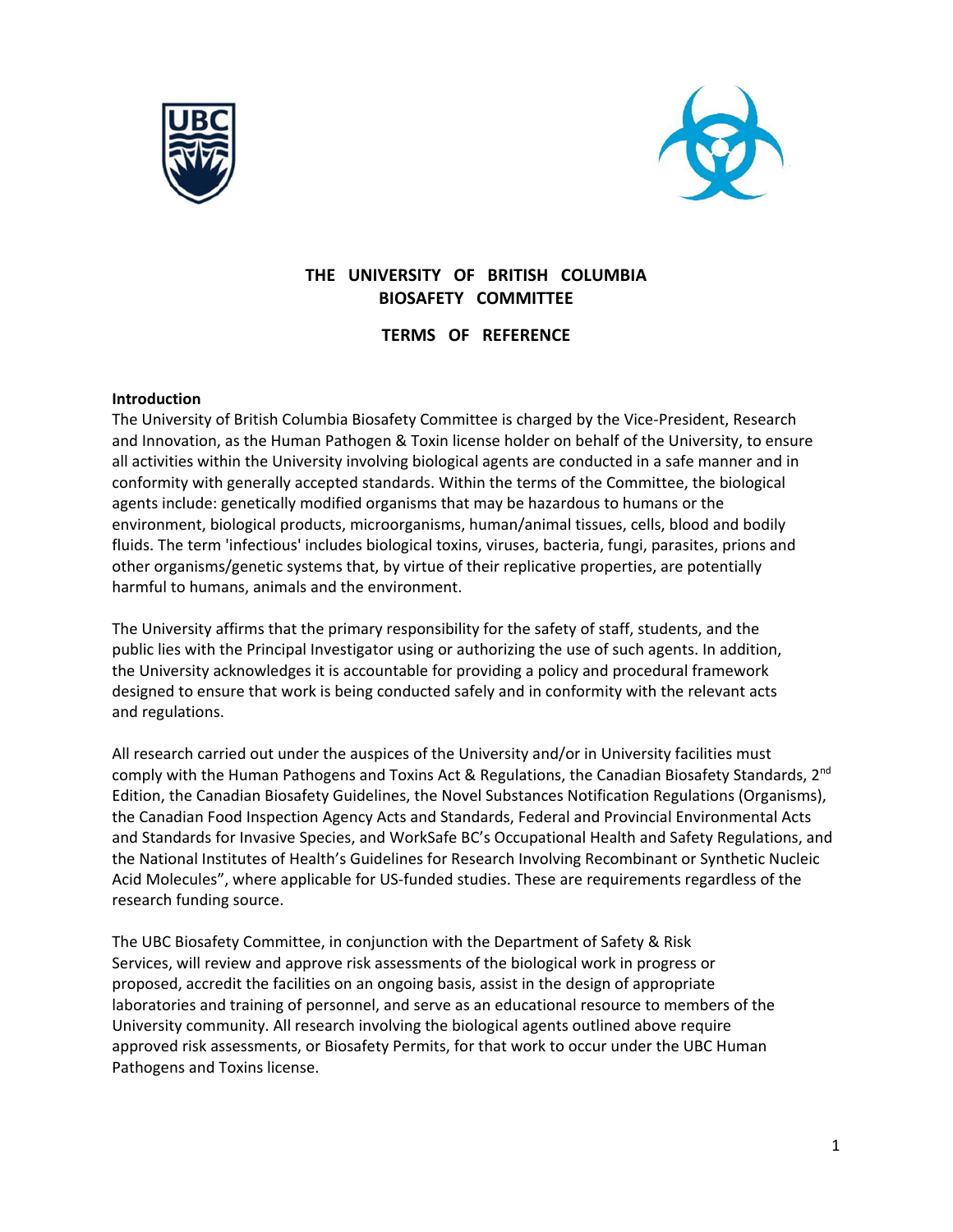



# **THE UNIVERSITY OF BRITISH COLUMBIA BIOSAFETY COMMITTEE**

**TERMS OF REFERENCE** 

## **Introduction**

The University of British Columbia Biosafety Committee is charged by the Vice‐President, Research and Innovation, as the Human Pathogen & Toxin license holder on behalf of the University, to ensure all activities within the University involving biological agents are conducted in a safe manner and in conformity with generally accepted standards. Within the terms of the Committee, the biological agents include: genetically modified organisms that may be hazardous to humans or the environment, biological products, microorganisms, human/animal tissues, cells, blood and bodily fluids. The term 'infectious' includes biological toxins, viruses, bacteria, fungi, parasites, prions and other organisms/genetic systems that, by virtue of their replicative properties, are potentially harmful to humans, animals and the environment.

The University affirms that the primary responsibility for the safety of staff, students, and the public lies with the Principal Investigator using or authorizing the use of such agents. In addition, the University acknowledges it is accountable for providing a policy and procedural framework designed to ensure that work is being conducted safely and in conformity with the relevant acts and regulations.

All research carried out under the auspices of the University and/or in University facilities must comply with the Human Pathogens and Toxins Act & Regulations, the Canadian Biosafety Standards, 2<sup>nd</sup> Edition, the Canadian Biosafety Guidelines, the Novel Substances Notification Regulations (Organisms), the Canadian Food Inspection Agency Acts and Standards, Federal and Provincial Environmental Acts and Standards for Invasive Species, and WorkSafe BC's Occupational Health and Safety Regulations, and the National Institutes of Health's Guidelines for Research Involving Recombinant or Synthetic Nucleic Acid Molecules", where applicable for US‐funded studies. These are requirements regardless of the research funding source.

The UBC Biosafety Committee, in conjunction with the Department of Safety & Risk Services, will review and approve risk assessments of the biological work in progress or proposed, accredit the facilities on an ongoing basis, assist in the design of appropriate laboratories and training of personnel, and serve as an educational resource to members of the University community. All research involving the biological agents outlined above require approved risk assessments, or Biosafety Permits, for that work to occur under the UBC Human Pathogens and Toxins license.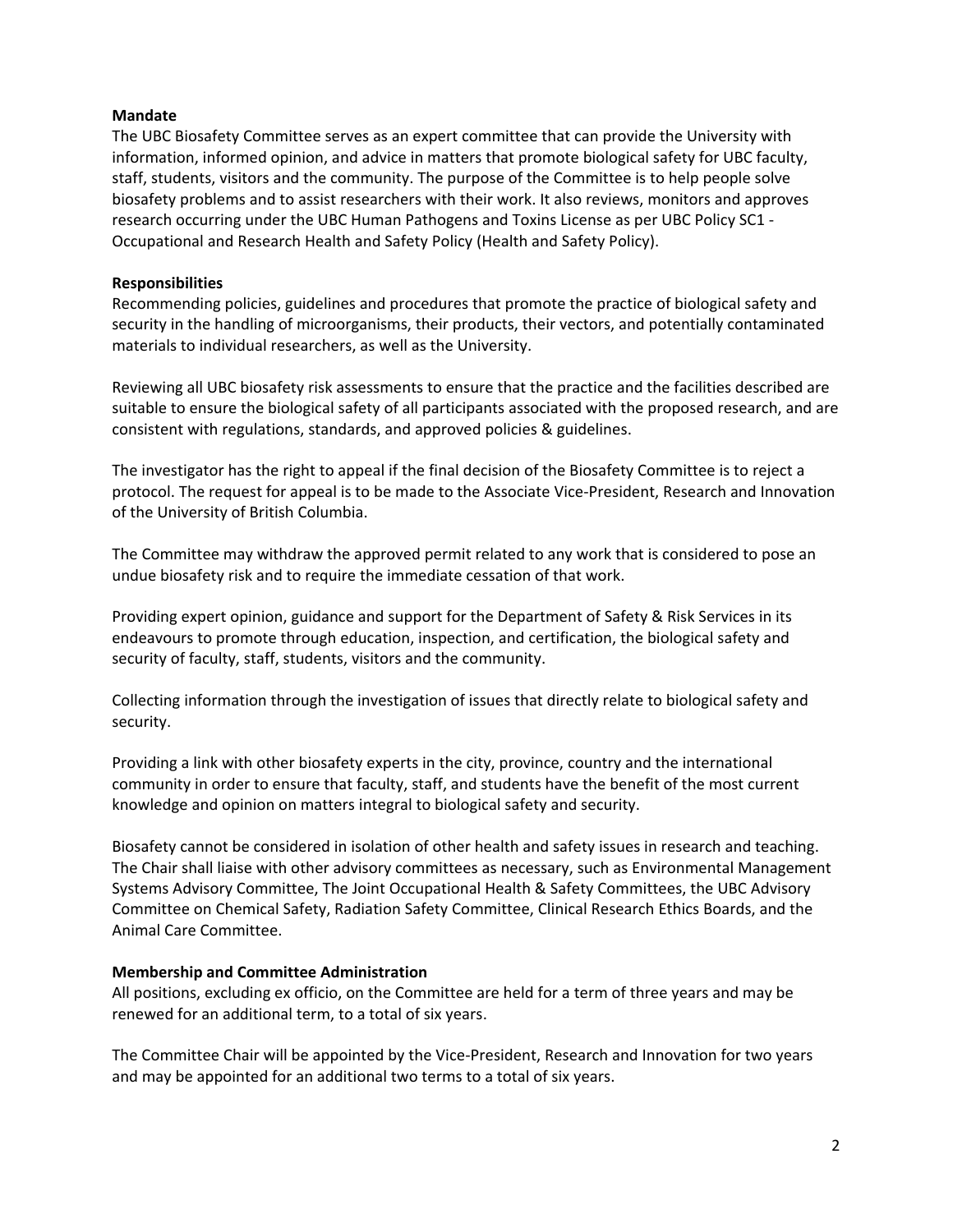## **Mandate**

The UBC Biosafety Committee serves as an expert committee that can provide the University with information, informed opinion, and advice in matters that promote biological safety for UBC faculty, staff, students, visitors and the community. The purpose of the Committee is to help people solve biosafety problems and to assist researchers with their work. It also reviews, monitors and approves research occurring under the UBC Human Pathogens and Toxins License as per UBC Policy SC1 ‐ Occupational and Research Health and Safety Policy (Health and Safety Policy).

### **Responsibilities**

Recommending policies, guidelines and procedures that promote the practice of biological safety and security in the handling of microorganisms, their products, their vectors, and potentially contaminated materials to individual researchers, as well as the University.

Reviewing all UBC biosafety risk assessments to ensure that the practice and the facilities described are suitable to ensure the biological safety of all participants associated with the proposed research, and are consistent with regulations, standards, and approved policies & guidelines.

The investigator has the right to appeal if the final decision of the Biosafety Committee is to reject a protocol. The request for appeal is to be made to the Associate Vice‐President, Research and Innovation of the University of British Columbia.

The Committee may withdraw the approved permit related to any work that is considered to pose an undue biosafety risk and to require the immediate cessation of that work.

Providing expert opinion, guidance and support for the Department of Safety & Risk Services in its endeavours to promote through education, inspection, and certification, the biological safety and security of faculty, staff, students, visitors and the community.

Collecting information through the investigation of issues that directly relate to biological safety and security.

Providing a link with other biosafety experts in the city, province, country and the international community in order to ensure that faculty, staff, and students have the benefit of the most current knowledge and opinion on matters integral to biological safety and security.

Biosafety cannot be considered in isolation of other health and safety issues in research and teaching. The Chair shall liaise with other advisory committees as necessary, such as Environmental Management Systems Advisory Committee, The Joint Occupational Health & Safety Committees, the UBC Advisory Committee on Chemical Safety, Radiation Safety Committee, Clinical Research Ethics Boards, and the Animal Care Committee.

#### **Membership and Committee Administration**

All positions, excluding ex officio, on the Committee are held for a term of three years and may be renewed for an additional term, to a total of six years.

The Committee Chair will be appointed by the Vice‐President, Research and Innovation for two years and may be appointed for an additional two terms to a total of six years.